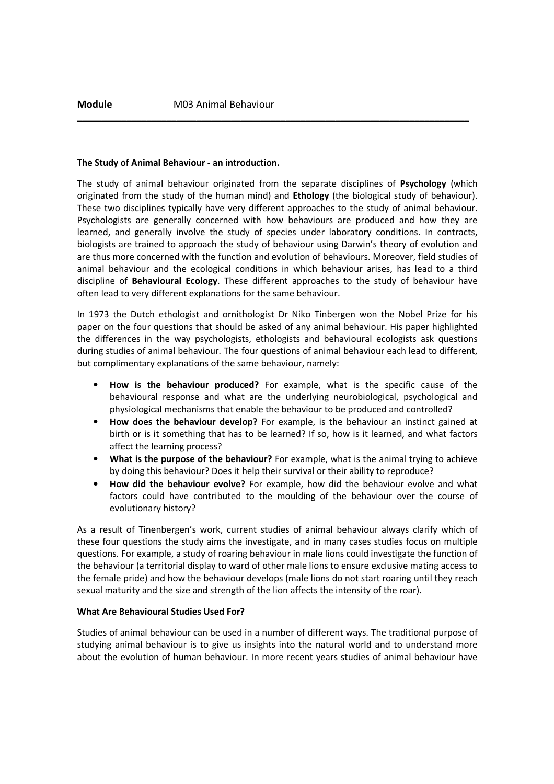#### The Study of Animal Behaviour - an introduction.

The study of animal behaviour originated from the separate disciplines of Psychology (which originated from the study of the human mind) and Ethology (the biological study of behaviour). These two disciplines typically have very different approaches to the study of animal behaviour. Psychologists are generally concerned with how behaviours are produced and how they are learned, and generally involve the study of species under laboratory conditions. In contracts, biologists are trained to approach the study of behaviour using Darwin's theory of evolution and are thus more concerned with the function and evolution of behaviours. Moreover, field studies of animal behaviour and the ecological conditions in which behaviour arises, has lead to a third discipline of Behavioural Ecology. These different approaches to the study of behaviour have often lead to very different explanations for the same behaviour.

 $\_$  , and the set of the set of the set of the set of the set of the set of the set of the set of the set of the set of the set of the set of the set of the set of the set of the set of the set of the set of the set of th

In 1973 the Dutch ethologist and ornithologist Dr Niko Tinbergen won the Nobel Prize for his paper on the four questions that should be asked of any animal behaviour. His paper highlighted the differences in the way psychologists, ethologists and behavioural ecologists ask questions during studies of animal behaviour. The four questions of animal behaviour each lead to different, but complimentary explanations of the same behaviour, namely:

- How is the behaviour produced? For example, what is the specific cause of the behavioural response and what are the underlying neurobiological, psychological and physiological mechanisms that enable the behaviour to be produced and controlled?
- How does the behaviour develop? For example, is the behaviour an instinct gained at birth or is it something that has to be learned? If so, how is it learned, and what factors affect the learning process?
- What is the purpose of the behaviour? For example, what is the animal trying to achieve by doing this behaviour? Does it help their survival or their ability to reproduce?
- How did the behaviour evolve? For example, how did the behaviour evolve and what factors could have contributed to the moulding of the behaviour over the course of evolutionary history?

As a result of Tinenbergen's work, current studies of animal behaviour always clarify which of these four questions the study aims the investigate, and in many cases studies focus on multiple questions. For example, a study of roaring behaviour in male lions could investigate the function of the behaviour (a territorial display to ward of other male lions to ensure exclusive mating access to the female pride) and how the behaviour develops (male lions do not start roaring until they reach sexual maturity and the size and strength of the lion affects the intensity of the roar).

#### What Are Behavioural Studies Used For?

Studies of animal behaviour can be used in a number of different ways. The traditional purpose of studying animal behaviour is to give us insights into the natural world and to understand more about the evolution of human behaviour. In more recent years studies of animal behaviour have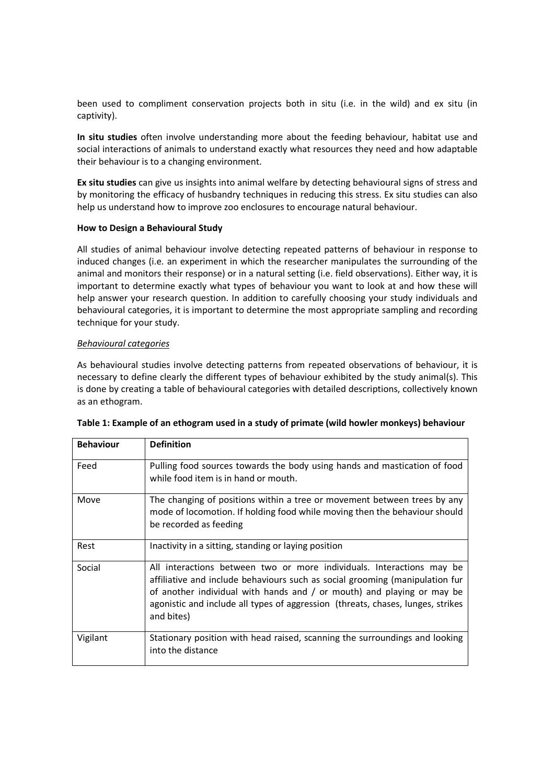been used to compliment conservation projects both in situ (i.e. in the wild) and ex situ (in captivity).

In situ studies often involve understanding more about the feeding behaviour, habitat use and social interactions of animals to understand exactly what resources they need and how adaptable their behaviour is to a changing environment.

Ex situ studies can give us insights into animal welfare by detecting behavioural signs of stress and by monitoring the efficacy of husbandry techniques in reducing this stress. Ex situ studies can also help us understand how to improve zoo enclosures to encourage natural behaviour.

## How to Design a Behavioural Study

All studies of animal behaviour involve detecting repeated patterns of behaviour in response to induced changes (i.e. an experiment in which the researcher manipulates the surrounding of the animal and monitors their response) or in a natural setting (i.e. field observations). Either way, it is important to determine exactly what types of behaviour you want to look at and how these will help answer your research question. In addition to carefully choosing your study individuals and behavioural categories, it is important to determine the most appropriate sampling and recording technique for your study.

## Behavioural categories

As behavioural studies involve detecting patterns from repeated observations of behaviour, it is necessary to define clearly the different types of behaviour exhibited by the study animal(s). This is done by creating a table of behavioural categories with detailed descriptions, collectively known as an ethogram.

| <b>Behaviour</b> | <b>Definition</b>                                                                                                                                                                                                                                                                                                                |
|------------------|----------------------------------------------------------------------------------------------------------------------------------------------------------------------------------------------------------------------------------------------------------------------------------------------------------------------------------|
| Feed             | Pulling food sources towards the body using hands and mastication of food<br>while food item is in hand or mouth.                                                                                                                                                                                                                |
| Move             | The changing of positions within a tree or movement between trees by any<br>mode of locomotion. If holding food while moving then the behaviour should<br>be recorded as feeding                                                                                                                                                 |
| Rest             | Inactivity in a sitting, standing or laying position                                                                                                                                                                                                                                                                             |
| Social           | All interactions between two or more individuals. Interactions may be<br>affiliative and include behaviours such as social grooming (manipulation fur<br>of another individual with hands and / or mouth) and playing or may be<br>agonistic and include all types of aggression (threats, chases, lunges, strikes<br>and bites) |
| Vigilant         | Stationary position with head raised, scanning the surroundings and looking<br>into the distance                                                                                                                                                                                                                                 |

| Table 1: Example of an ethogram used in a study of primate (wild howler monkeys) behaviour |  |  |  |  |  |
|--------------------------------------------------------------------------------------------|--|--|--|--|--|
|--------------------------------------------------------------------------------------------|--|--|--|--|--|